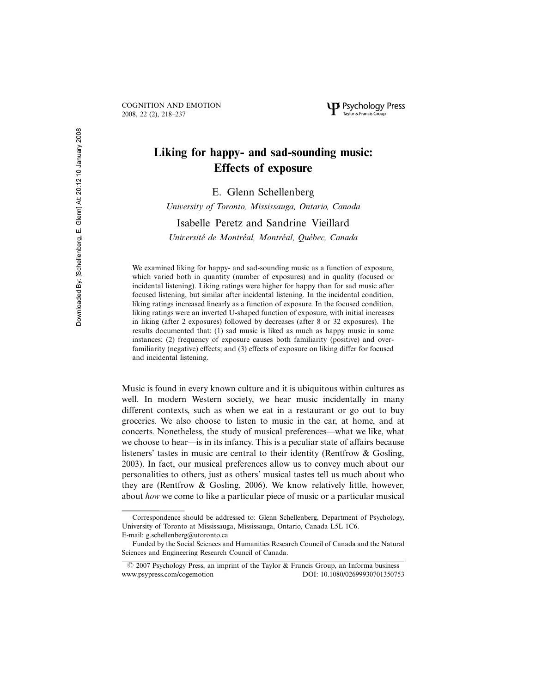COGNITION AND EMOTION 2008, 22 (2), 218-237

#### $\Psi$  Psychology Press Taylor & Francis Group

# Liking for happy- and sad-sounding music: Effects of exposure

E. Glenn Schellenberg

University of Toronto, Mississauga, Ontario, Canada

# Isabelle Peretz and Sandrine Vieillard Université de Montréal, Montréal, Québec, Canada

We examined liking for happy- and sad-sounding music as a function of exposure, which varied both in quantity (number of exposures) and in quality (focused or incidental listening). Liking ratings were higher for happy than for sad music after focused listening, but similar after incidental listening. In the incidental condition, liking ratings increased linearly as a function of exposure. In the focused condition, liking ratings were an inverted U-shaped function of exposure, with initial increases in liking (after 2 exposures) followed by decreases (after 8 or 32 exposures). The results documented that: (1) sad music is liked as much as happy music in some instances; (2) frequency of exposure causes both familiarity (positive) and overfamiliarity (negative) effects; and (3) effects of exposure on liking differ for focused and incidental listening.

Music is found in every known culture and it is ubiquitous within cultures as well. In modern Western society, we hear music incidentally in many different contexts, such as when we eat in a restaurant or go out to buy groceries. We also choose to listen to music in the car, at home, and at concerts. Nonetheless, the study of musical preferences—what we like, what we choose to hear-is in its infancy. This is a peculiar state of affairs because listeners' tastes in music are central to their identity (Rentfrow & Gosling, 2003). In fact, our musical preferences allow us to convey much about our personalities to others, just as others' musical tastes tell us much about who they are (Rentfrow & Gosling, 2006). We know relatively little, however, about how we come to like a particular piece of music or a particular musical

Correspondence should be addressed to: Glenn Schellenberg, Department of Psychology, University of Toronto at Mississauga, Mississauga, Ontario, Canada L5L 1C6. E-mail: g.schellenberg@utoronto.ca

Funded by the Social Sciences and Humanities Research Council of Canada and the Natural Sciences and Engineering Research Council of Canada.

 $\degree$  2007 Psychology Press, an imprint of the Taylor & Francis Group, an Informa business www.psypress.com/cogemotion DOI: 10.1080/02699930701350753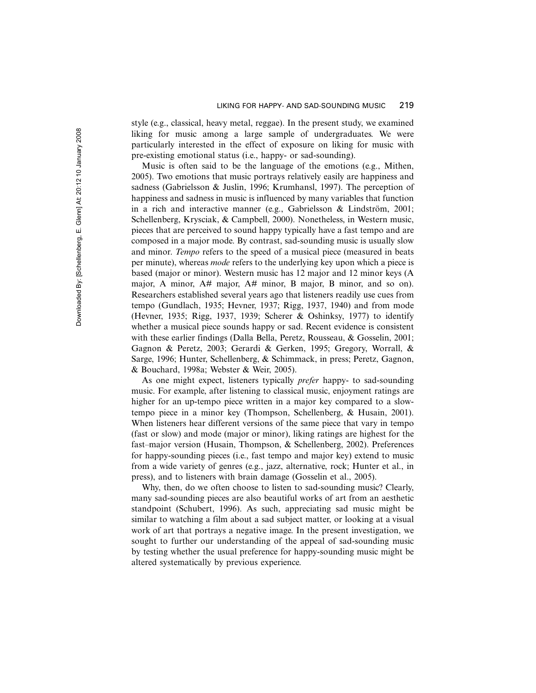style (e.g., classical, heavy metal, reggae). In the present study, we examined liking for music among a large sample of undergraduates. We were particularly interested in the effect of exposure on liking for music with pre-existing emotional status (i.e., happy- or sad-sounding).

Music is often said to be the language of the emotions (e.g., Mithen, 2005). Two emotions that music portrays relatively easily are happiness and sadness (Gabrielsson & Juslin, 1996; Krumhansl, 1997). The perception of happiness and sadness in music is influenced by many variables that function in a rich and interactive manner (e.g., Gabrielsson  $\&$  Lindström, 2001; Schellenberg, Krysciak, & Campbell, 2000). Nonetheless, in Western music, pieces that are perceived to sound happy typically have a fast tempo and are composed in a major mode. By contrast, sad-sounding music is usually slow and minor. Tempo refers to the speed of a musical piece (measured in beats per minute), whereas *mode* refers to the underlying key upon which a piece is based (major or minor). Western music has 12 major and 12 minor keys (A major, A minor, A# major, A# minor, B major, B minor, and so on). Researchers established several years ago that listeners readily use cues from tempo (Gundlach, 1935; Hevner, 1937; Rigg, 1937, 1940) and from mode (Hevner, 1935; Rigg, 1937, 1939; Scherer & Oshinksy, 1977) to identify whether a musical piece sounds happy or sad. Recent evidence is consistent with these earlier findings (Dalla Bella, Peretz, Rousseau, & Gosselin, 2001; Gagnon & Peretz, 2003; Gerardi & Gerken, 1995; Gregory, Worrall, & Sarge, 1996; Hunter, Schellenberg, & Schimmack, in press; Peretz, Gagnon, & Bouchard, 1998a; Webster & Weir, 2005).

As one might expect, listeners typically prefer happy- to sad-sounding music. For example, after listening to classical music, enjoyment ratings are higher for an up-tempo piece written in a major key compared to a slowtempo piece in a minor key (Thompson, Schellenberg, & Husain, 2001). When listeners hear different versions of the same piece that vary in tempo (fast or slow) and mode (major or minor), liking ratings are highest for the fast-major version (Husain, Thompson,  $\&$  Schellenberg, 2002). Preferences for happy-sounding pieces (i.e., fast tempo and major key) extend to music from a wide variety of genres (e.g., jazz, alternative, rock; Hunter et al., in press), and to listeners with brain damage (Gosselin et al., 2005).

Why, then, do we often choose to listen to sad-sounding music? Clearly, many sad-sounding pieces are also beautiful works of art from an aesthetic standpoint (Schubert, 1996). As such, appreciating sad music might be similar to watching a film about a sad subject matter, or looking at a visual work of art that portrays a negative image. In the present investigation, we sought to further our understanding of the appeal of sad-sounding music by testing whether the usual preference for happy-sounding music might be altered systematically by previous experience.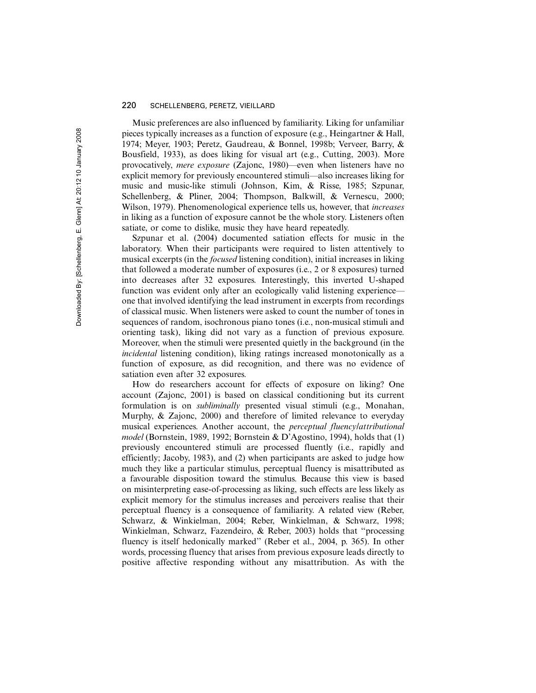Music preferences are also influenced by familiarity. Liking for unfamiliar pieces typically increases as a function of exposure (e.g., Heingartner & Hall, 1974; Meyer, 1903; Peretz, Gaudreau, & Bonnel, 1998b; Verveer, Barry, & Bousfield, 1933), as does liking for visual art (e.g., Cutting, 2003). More provocatively, *mere exposure* (Zajonc, 1980)—even when listeners have no explicit memory for previously encountered stimuli—also increases liking for music and music-like stimuli (Johnson, Kim, & Risse, 1985; Szpunar, Schellenberg, & Pliner, 2004; Thompson, Balkwill, & Vernescu, 2000; Wilson, 1979). Phenomenological experience tells us, however, that increases in liking as a function of exposure cannot be the whole story. Listeners often satiate, or come to dislike, music they have heard repeatedly.

Szpunar et al. (2004) documented satiation effects for music in the laboratory. When their participants were required to listen attentively to musical excerpts (in the *focused* listening condition), initial increases in liking that followed a moderate number of exposures (i.e., 2 or 8 exposures) turned into decreases after 32 exposures. Interestingly, this inverted U-shaped function was evident only after an ecologically valid listening experience\* one that involved identifying the lead instrument in excerpts from recordings of classical music. When listeners were asked to count the number of tones in sequences of random, isochronous piano tones (i.e., non-musical stimuli and orienting task), liking did not vary as a function of previous exposure. Moreover, when the stimuli were presented quietly in the background (in the incidental listening condition), liking ratings increased monotonically as a function of exposure, as did recognition, and there was no evidence of satiation even after 32 exposures.

How do researchers account for effects of exposure on liking? One account (Zajonc, 2001) is based on classical conditioning but its current formulation is on subliminally presented visual stimuli (e.g., Monahan, Murphy, & Zajonc, 2000) and therefore of limited relevance to everyday musical experiences. Another account, the perceptual fluency/attributional model (Bornstein, 1989, 1992; Bornstein & D'Agostino, 1994), holds that (1) previously encountered stimuli are processed fluently (i.e., rapidly and efficiently; Jacoby, 1983), and (2) when participants are asked to judge how much they like a particular stimulus, perceptual fluency is misattributed as a favourable disposition toward the stimulus. Because this view is based on misinterpreting ease-of-processing as liking, such effects are less likely as explicit memory for the stimulus increases and perceivers realise that their perceptual fluency is a consequence of familiarity. A related view (Reber, Schwarz, & Winkielman, 2004; Reber, Winkielman, & Schwarz, 1998; Winkielman, Schwarz, Fazendeiro, & Reber, 2003) holds that ''processing fluency is itself hedonically marked'' (Reber et al., 2004, p. 365). In other words, processing fluency that arises from previous exposure leads directly to positive affective responding without any misattribution. As with the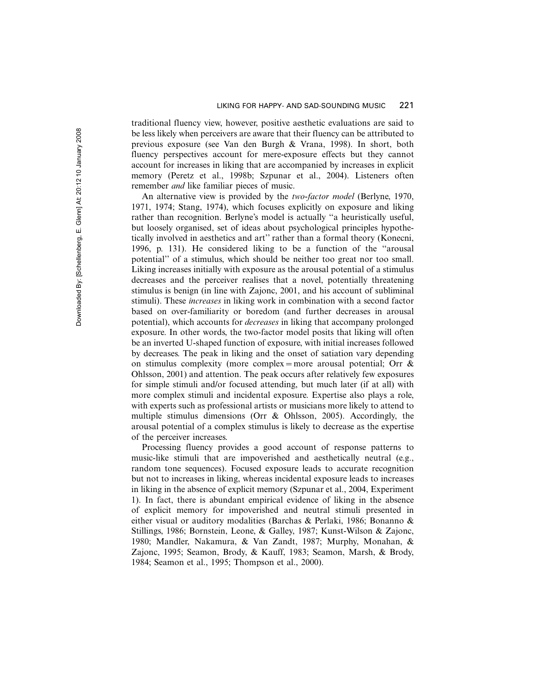traditional fluency view, however, positive aesthetic evaluations are said to be less likely when perceivers are aware that their fluency can be attributed to previous exposure (see Van den Burgh & Vrana, 1998). In short, both fluency perspectives account for mere-exposure effects but they cannot account for increases in liking that are accompanied by increases in explicit memory (Peretz et al., 1998b; Szpunar et al., 2004). Listeners often remember and like familiar pieces of music.

An alternative view is provided by the two-factor model (Berlyne, 1970, 1971, 1974; Stang, 1974), which focuses explicitly on exposure and liking rather than recognition. Berlyne's model is actually ''a heuristically useful, but loosely organised, set of ideas about psychological principles hypothetically involved in aesthetics and art'' rather than a formal theory (Konecni, 1996, p. 131). He considered liking to be a function of the ''arousal potential'' of a stimulus, which should be neither too great nor too small. Liking increases initially with exposure as the arousal potential of a stimulus decreases and the perceiver realises that a novel, potentially threatening stimulus is benign (in line with Zajonc, 2001, and his account of subliminal stimuli). These increases in liking work in combination with a second factor based on over-familiarity or boredom (and further decreases in arousal potential), which accounts for decreases in liking that accompany prolonged exposure. In other words, the two-factor model posits that liking will often be an inverted U-shaped function of exposure, with initial increases followed by decreases. The peak in liking and the onset of satiation vary depending on stimulus complexity (more complex = more arousal potential; Orr  $\&$ Ohlsson, 2001) and attention. The peak occurs after relatively few exposures for simple stimuli and/or focused attending, but much later (if at all) with more complex stimuli and incidental exposure. Expertise also plays a role, with experts such as professional artists or musicians more likely to attend to multiple stimulus dimensions (Orr & Ohlsson, 2005). Accordingly, the arousal potential of a complex stimulus is likely to decrease as the expertise of the perceiver increases.

Processing fluency provides a good account of response patterns to music-like stimuli that are impoverished and aesthetically neutral (e.g., random tone sequences). Focused exposure leads to accurate recognition but not to increases in liking, whereas incidental exposure leads to increases in liking in the absence of explicit memory (Szpunar et al., 2004, Experiment 1). In fact, there is abundant empirical evidence of liking in the absence of explicit memory for impoverished and neutral stimuli presented in either visual or auditory modalities (Barchas & Perlaki, 1986; Bonanno & Stillings, 1986; Bornstein, Leone, & Galley, 1987; Kunst-Wilson & Zajonc, 1980; Mandler, Nakamura, & Van Zandt, 1987; Murphy, Monahan, & Zajonc, 1995; Seamon, Brody, & Kauff, 1983; Seamon, Marsh, & Brody, 1984; Seamon et al., 1995; Thompson et al., 2000).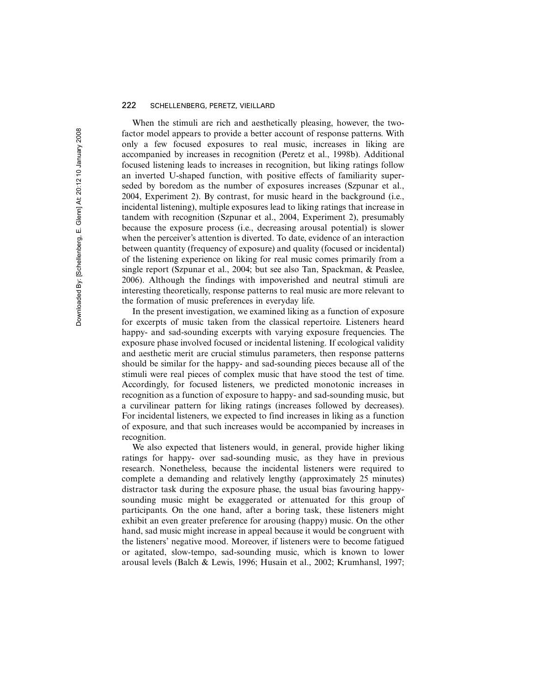When the stimuli are rich and aesthetically pleasing, however, the twofactor model appears to provide a better account of response patterns. With only a few focused exposures to real music, increases in liking are accompanied by increases in recognition (Peretz et al., 1998b). Additional focused listening leads to increases in recognition, but liking ratings follow an inverted U-shaped function, with positive effects of familiarity superseded by boredom as the number of exposures increases (Szpunar et al., 2004, Experiment 2). By contrast, for music heard in the background (i.e., incidental listening), multiple exposures lead to liking ratings that increase in tandem with recognition (Szpunar et al., 2004, Experiment 2), presumably because the exposure process (i.e., decreasing arousal potential) is slower when the perceiver's attention is diverted. To date, evidence of an interaction between quantity (frequency of exposure) and quality (focused or incidental) of the listening experience on liking for real music comes primarily from a single report (Szpunar et al., 2004; but see also Tan, Spackman, & Peaslee, 2006). Although the findings with impoverished and neutral stimuli are interesting theoretically, response patterns to real music are more relevant to the formation of music preferences in everyday life.

In the present investigation, we examined liking as a function of exposure for excerpts of music taken from the classical repertoire. Listeners heard happy- and sad-sounding excerpts with varying exposure frequencies. The exposure phase involved focused or incidental listening. If ecological validity and aesthetic merit are crucial stimulus parameters, then response patterns should be similar for the happy- and sad-sounding pieces because all of the stimuli were real pieces of complex music that have stood the test of time. Accordingly, for focused listeners, we predicted monotonic increases in recognition as a function of exposure to happy- and sad-sounding music, but a curvilinear pattern for liking ratings (increases followed by decreases). For incidental listeners, we expected to find increases in liking as a function of exposure, and that such increases would be accompanied by increases in recognition.

We also expected that listeners would, in general, provide higher liking ratings for happy- over sad-sounding music, as they have in previous research. Nonetheless, because the incidental listeners were required to complete a demanding and relatively lengthy (approximately 25 minutes) distractor task during the exposure phase, the usual bias favouring happysounding music might be exaggerated or attenuated for this group of participants. On the one hand, after a boring task, these listeners might exhibit an even greater preference for arousing (happy) music. On the other hand, sad music might increase in appeal because it would be congruent with the listeners' negative mood. Moreover, if listeners were to become fatigued or agitated, slow-tempo, sad-sounding music, which is known to lower arousal levels (Balch & Lewis, 1996; Husain et al., 2002; Krumhansl, 1997;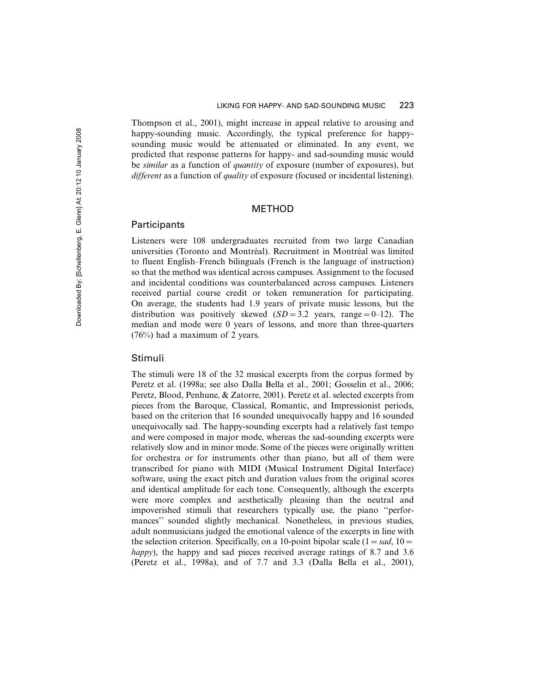Thompson et al., 2001), might increase in appeal relative to arousing and happy-sounding music. Accordingly, the typical preference for happysounding music would be attenuated or eliminated. In any event, we predicted that response patterns for happy- and sad-sounding music would be similar as a function of quantity of exposure (number of exposures), but different as a function of *quality* of exposure (focused or incidental listening).

# METHOD

#### **Participants**

Listeners were 108 undergraduates recruited from two large Canadian universities (Toronto and Montréal). Recruitment in Montréal was limited to fluent English-French bilinguals (French is the language of instruction) so that the method was identical across campuses. Assignment to the focused and incidental conditions was counterbalanced across campuses. Listeners received partial course credit or token remuneration for participating. On average, the students had 1.9 years of private music lessons, but the distribution was positively skewed  $(SD = 3.2$  years, range  $= 0$  -12). The median and mode were 0 years of lessons, and more than three-quarters (76%) had a maximum of 2 years.

# Stimuli

The stimuli were 18 of the 32 musical excerpts from the corpus formed by Peretz et al. (1998a; see also Dalla Bella et al., 2001; Gosselin et al., 2006; Peretz, Blood, Penhune, & Zatorre, 2001). Peretz et al. selected excerpts from pieces from the Baroque, Classical, Romantic, and Impressionist periods, based on the criterion that 16 sounded unequivocally happy and 16 sounded unequivocally sad. The happy-sounding excerpts had a relatively fast tempo and were composed in major mode, whereas the sad-sounding excerpts were relatively slow and in minor mode. Some of the pieces were originally written for orchestra or for instruments other than piano, but all of them were transcribed for piano with MIDI (Musical Instrument Digital Interface) software, using the exact pitch and duration values from the original scores and identical amplitude for each tone. Consequently, although the excerpts were more complex and aesthetically pleasing than the neutral and impoverished stimuli that researchers typically use, the piano ''performances'' sounded slightly mechanical. Nonetheless, in previous studies, adult nonmusicians judged the emotional valence of the excerpts in line with the selection criterion. Specifically, on a 10-point bipolar scale  $(1 = sad, 10 =$ happy), the happy and sad pieces received average ratings of 8.7 and 3.6 (Peretz et al., 1998a), and of 7.7 and 3.3 (Dalla Bella et al., 2001),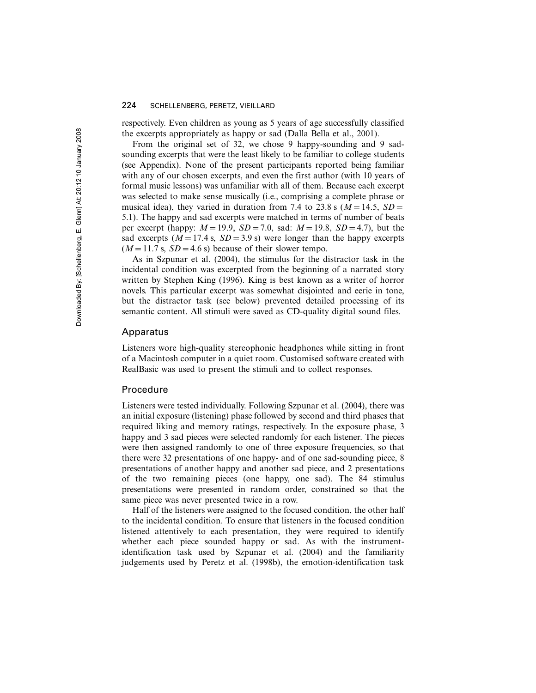respectively. Even children as young as 5 years of age successfully classified the excerpts appropriately as happy or sad (Dalla Bella et al., 2001).

From the original set of 32, we chose 9 happy-sounding and 9 sadsounding excerpts that were the least likely to be familiar to college students (see Appendix). None of the present participants reported being familiar with any of our chosen excerpts, and even the first author (with 10 years of formal music lessons) was unfamiliar with all of them. Because each excerpt was selected to make sense musically (i.e., comprising a complete phrase or musical idea), they varied in duration from 7.4 to 23.8 s ( $M = 14.5$ ,  $SD =$ 5.1). The happy and sad excerpts were matched in terms of number of beats per excerpt (happy:  $M = 19.9$ ,  $SD = 7.0$ , sad:  $M = 19.8$ ,  $SD = 4.7$ ), but the sad excerpts ( $M = 17.4$  s,  $SD = 3.9$  s) were longer than the happy excerpts  $(M=11.7 \text{ s}, SD=4.6 \text{ s})$  because of their slower tempo.

As in Szpunar et al. (2004), the stimulus for the distractor task in the incidental condition was excerpted from the beginning of a narrated story written by Stephen King (1996). King is best known as a writer of horror novels. This particular excerpt was somewhat disjointed and eerie in tone, but the distractor task (see below) prevented detailed processing of its semantic content. All stimuli were saved as CD-quality digital sound files.

#### Apparatus

Listeners wore high-quality stereophonic headphones while sitting in front of a Macintosh computer in a quiet room. Customised software created with RealBasic was used to present the stimuli and to collect responses.

# Procedure

Listeners were tested individually. Following Szpunar et al. (2004), there was an initial exposure (listening) phase followed by second and third phases that required liking and memory ratings, respectively. In the exposure phase, 3 happy and 3 sad pieces were selected randomly for each listener. The pieces were then assigned randomly to one of three exposure frequencies, so that there were 32 presentations of one happy- and of one sad-sounding piece, 8 presentations of another happy and another sad piece, and 2 presentations of the two remaining pieces (one happy, one sad). The 84 stimulus presentations were presented in random order, constrained so that the same piece was never presented twice in a row.

Half of the listeners were assigned to the focused condition, the other half to the incidental condition. To ensure that listeners in the focused condition listened attentively to each presentation, they were required to identify whether each piece sounded happy or sad. As with the instrumentidentification task used by Szpunar et al. (2004) and the familiarity judgements used by Peretz et al. (1998b), the emotion-identification task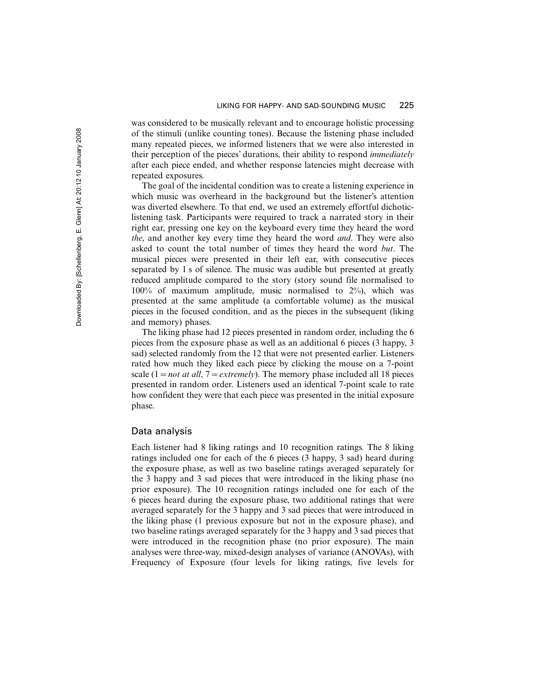was considered to be musically relevant and to encourage holistic processing of the stimuli (unlike counting tones). Because the listening phase included many repeated pieces, we informed listeners that we were also interested in their perception of the pieces' durations, their ability to respond immediately after each piece ended, and whether response latencies might decrease with repeated exposures.

The goal of the incidental condition was to create a listening experience in which music was overheard in the background but the listener's attention was diverted elsewhere. To that end, we used an extremely effortful dichoticlistening task. Participants were required to track a narrated story in their right ear, pressing one key on the keyboard every time they heard the word the, and another key every time they heard the word and. They were also asked to count the total number of times they heard the word but. The musical pieces were presented in their left ear, with consecutive pieces separated by 1 s of silence. The music was audible but presented at greatly reduced amplitude compared to the story (story sound file normalised to 100% of maximum amplitude, music normalised to 2%), which was presented at the same amplitude (a comfortable volume) as the musical pieces in the focused condition, and as the pieces in the subsequent (liking and memory) phases.

The liking phase had 12 pieces presented in random order, including the 6 pieces from the exposure phase as well as an additional 6 pieces (3 happy, 3 sad) selected randomly from the 12 that were not presented earlier. Listeners rated how much they liked each piece by clicking the mouse on a 7-point scale (1 = *not at all*,  $7 =$  *extremely*). The memory phase included all 18 pieces presented in random order. Listeners used an identical 7-point scale to rate how confident they were that each piece was presented in the initial exposure phase.

# Data analysis

Each listener had 8 liking ratings and 10 recognition ratings. The 8 liking ratings included one for each of the 6 pieces (3 happy, 3 sad) heard during the exposure phase, as well as two baseline ratings averaged separately for the 3 happy and 3 sad pieces that were introduced in the liking phase (no prior exposure). The 10 recognition ratings included one for each of the 6 pieces heard during the exposure phase, two additional ratings that were averaged separately for the 3 happy and 3 sad pieces that were introduced in the liking phase (1 previous exposure but not in the exposure phase), and two baseline ratings averaged separately for the 3 happy and 3 sad pieces that were introduced in the recognition phase (no prior exposure). The main analyses were three-way, mixed-design analyses of variance (ANOVAs), with Frequency of Exposure (four levels for liking ratings, five levels for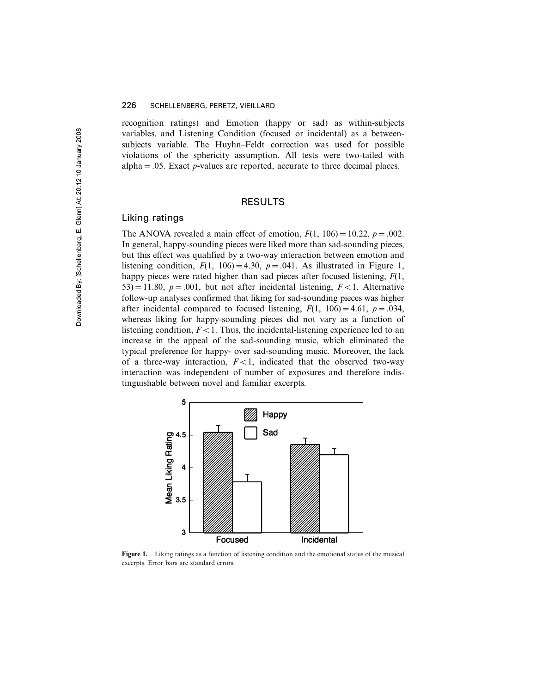recognition ratings) and Emotion (happy or sad) as within-subjects variables, and Listening Condition (focused or incidental) as a betweensubjects variable. The Huyhn-Feldt correction was used for possible violations of the sphericity assumption. All tests were two-tailed with  $alpha = .05$ . Exact *p*-values are reported, accurate to three decimal places.

# RESULTS

# Liking ratings

The ANOVA revealed a main effect of emotion,  $F(1, 106) = 10.22$ ,  $p = .002$ . In general, happy-sounding pieces were liked more than sad-sounding pieces, but this effect was qualified by a two-way interaction between emotion and listening condition,  $F(1, 106) = 4.30$ ,  $p = .041$ . As illustrated in Figure 1, happy pieces were rated higher than sad pieces after focused listening,  $F(1, 1)$  $(53) = 11.80$ ,  $p = .001$ , but not after incidental listening,  $F < 1$ . Alternative follow-up analyses confirmed that liking for sad-sounding pieces was higher after incidental compared to focused listening,  $F(1, 106) = 4.61$ ,  $p = .034$ , whereas liking for happy-sounding pieces did not vary as a function of listening condition,  $F<1$ . Thus, the incidental-listening experience led to an increase in the appeal of the sad-sounding music, which eliminated the typical preference for happy- over sad-sounding music. Moreover, the lack of a three-way interaction,  $F<1$ , indicated that the observed two-way interaction was independent of number of exposures and therefore indistinguishable between novel and familiar excerpts.



Figure 1. Liking ratings as a function of listening condition and the emotional status of the musical excerpts. Error bars are standard errors.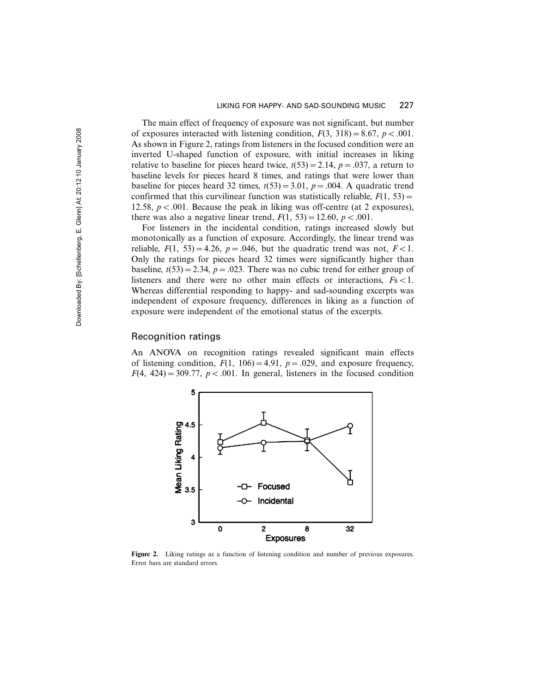The main effect of frequency of exposure was not significant, but number of exposures interacted with listening condition,  $F(3, 318) = 8.67$ ,  $p < .001$ . As shown in Figure 2, ratings from listeners in the focused condition were an inverted U-shaped function of exposure, with initial increases in liking relative to baseline for pieces heard twice,  $t(53) = 2.14$ ,  $p = .037$ , a return to baseline levels for pieces heard 8 times, and ratings that were lower than baseline for pieces heard 32 times,  $t(53) = 3.01$ ,  $p = .004$ . A quadratic trend confirmed that this curvilinear function was statistically reliable,  $F(1, 53) =$ 12.58,  $p < .001$ . Because the peak in liking was off-centre (at 2 exposures), there was also a negative linear trend,  $F(1, 53) = 12.60, p < .001$ .

For listeners in the incidental condition, ratings increased slowly but monotonically as a function of exposure. Accordingly, the linear trend was reliable,  $F(1, 53) = 4.26$ ,  $p = .046$ , but the quadratic trend was not,  $F < 1$ . Only the ratings for pieces heard 32 times were significantly higher than baseline,  $t(53) = 2.34$ ,  $p = .023$ . There was no cubic trend for either group of listeners and there were no other main effects or interactions,  $Fs < 1$ . Whereas differential responding to happy- and sad-sounding excerpts was independent of exposure frequency, differences in liking as a function of exposure were independent of the emotional status of the excerpts.

# Recognition ratings

An ANOVA on recognition ratings revealed significant main effects of listening condition,  $F(1, 106) = 4.91$ ,  $p = .029$ , and exposure frequency,  $F(4, 424) = 309.77$ ,  $p < .001$ . In general, listeners in the focused condition



Figure 2. Liking ratings as a function of listening condition and number of previous exposures. Error bars are standard errors.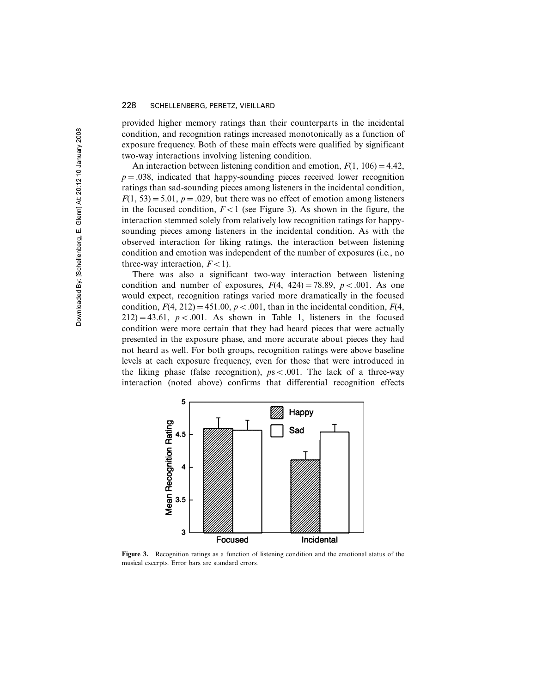provided higher memory ratings than their counterparts in the incidental condition, and recognition ratings increased monotonically as a function of exposure frequency. Both of these main effects were qualified by significant two-way interactions involving listening condition.

An interaction between listening condition and emotion,  $F(1, 106) = 4.42$ ,  $p = 0.038$ , indicated that happy-sounding pieces received lower recognition ratings than sad-sounding pieces among listeners in the incidental condition,  $F(1, 53) = 5.01$ ,  $p = .029$ , but there was no effect of emotion among listeners in the focused condition,  $F<1$  (see Figure 3). As shown in the figure, the interaction stemmed solely from relatively low recognition ratings for happysounding pieces among listeners in the incidental condition. As with the observed interaction for liking ratings, the interaction between listening condition and emotion was independent of the number of exposures (i.e., no three-way interaction,  $F<1$ ).

There was also a significant two-way interaction between listening condition and number of exposures,  $F(4, 424) = 78.89$ ,  $p < .001$ . As one would expect, recognition ratings varied more dramatically in the focused condition,  $F(4, 212) = 451.00, p < .001$ , than in the incidental condition,  $F(4, 212) = .001$  $212$ ) = 43.61, p < 001. As shown in Table 1, listeners in the focused condition were more certain that they had heard pieces that were actually presented in the exposure phase, and more accurate about pieces they had not heard as well. For both groups, recognition ratings were above baseline levels at each exposure frequency, even for those that were introduced in the liking phase (false recognition),  $ps < .001$ . The lack of a three-way interaction (noted above) confirms that differential recognition effects



Figure 3. Recognition ratings as a function of listening condition and the emotional status of the musical excerpts. Error bars are standard errors.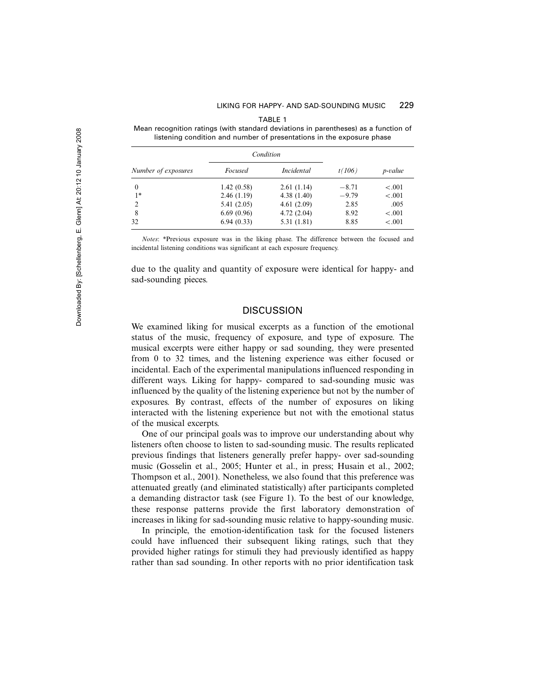| Number of exposures | Condition  |            |         |                 |
|---------------------|------------|------------|---------|-----------------|
|                     | Focused    | Incidental | t(106)  | <i>p</i> -value |
| $\bf{0}$            | 1.42(0.58) | 2.61(1.14) | $-8.71$ | < .001          |
| $1*$                | 2.46(1.19) | 4.38(1.40) | $-9.79$ | $-.001$         |
| 2                   | 5.41(2.05) | 4.61(2.09) | 2.85    | .005            |
| 8                   | 6.69(0.96) | 4.72(2.04) | 8.92    | $-.001$         |
| 32                  | 6.94(0.33) | 5.31(1.81) | 8.85    | $-.001$         |

TABLE 1 Mean recognition ratings (with standard deviations in parentheses) as a function of listening condition and number of presentations in the exposure phase

Notes: \*Previous exposure was in the liking phase. The difference between the focused and incidental listening conditions was significant at each exposure frequency.

due to the quality and quantity of exposure were identical for happy- and sad-sounding pieces.

# **DISCUSSION**

We examined liking for musical excerpts as a function of the emotional status of the music, frequency of exposure, and type of exposure. The musical excerpts were either happy or sad sounding, they were presented from 0 to 32 times, and the listening experience was either focused or incidental. Each of the experimental manipulations influenced responding in different ways. Liking for happy- compared to sad-sounding music was influenced by the quality of the listening experience but not by the number of exposures. By contrast, effects of the number of exposures on liking interacted with the listening experience but not with the emotional status of the musical excerpts.

One of our principal goals was to improve our understanding about why listeners often choose to listen to sad-sounding music. The results replicated previous findings that listeners generally prefer happy- over sad-sounding music (Gosselin et al., 2005; Hunter et al., in press; Husain et al., 2002; Thompson et al., 2001). Nonetheless, we also found that this preference was attenuated greatly (and eliminated statistically) after participants completed a demanding distractor task (see Figure 1). To the best of our knowledge, these response patterns provide the first laboratory demonstration of increases in liking for sad-sounding music relative to happy-sounding music.

In principle, the emotion-identification task for the focused listeners could have influenced their subsequent liking ratings, such that they provided higher ratings for stimuli they had previously identified as happy rather than sad sounding. In other reports with no prior identification task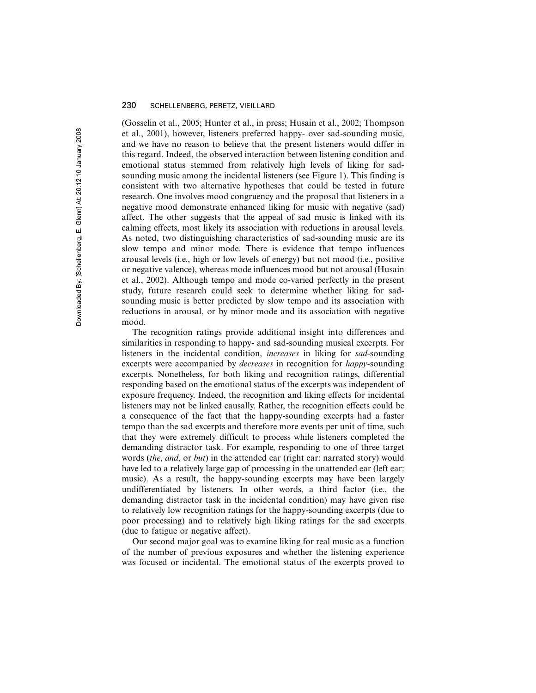(Gosselin et al., 2005; Hunter et al., in press; Husain et al., 2002; Thompson et al., 2001), however, listeners preferred happy- over sad-sounding music, and we have no reason to believe that the present listeners would differ in this regard. Indeed, the observed interaction between listening condition and emotional status stemmed from relatively high levels of liking for sadsounding music among the incidental listeners (see Figure 1). This finding is consistent with two alternative hypotheses that could be tested in future research. One involves mood congruency and the proposal that listeners in a negative mood demonstrate enhanced liking for music with negative (sad) affect. The other suggests that the appeal of sad music is linked with its calming effects, most likely its association with reductions in arousal levels. As noted, two distinguishing characteristics of sad-sounding music are its slow tempo and minor mode. There is evidence that tempo influences arousal levels (i.e., high or low levels of energy) but not mood (i.e., positive or negative valence), whereas mode influences mood but not arousal (Husain et al., 2002). Although tempo and mode co-varied perfectly in the present study, future research could seek to determine whether liking for sadsounding music is better predicted by slow tempo and its association with reductions in arousal, or by minor mode and its association with negative mood.

The recognition ratings provide additional insight into differences and similarities in responding to happy- and sad-sounding musical excerpts. For listeners in the incidental condition, increases in liking for sad-sounding excerpts were accompanied by *decreases* in recognition for *happy*-sounding excerpts. Nonetheless, for both liking and recognition ratings, differential responding based on the emotional status of the excerpts was independent of exposure frequency. Indeed, the recognition and liking effects for incidental listeners may not be linked causally. Rather, the recognition effects could be a consequence of the fact that the happy-sounding excerpts had a faster tempo than the sad excerpts and therefore more events per unit of time, such that they were extremely difficult to process while listeners completed the demanding distractor task. For example, responding to one of three target words (the, and, or but) in the attended ear (right ear: narrated story) would have led to a relatively large gap of processing in the unattended ear (left ear: music). As a result, the happy-sounding excerpts may have been largely undifferentiated by listeners. In other words, a third factor (i.e., the demanding distractor task in the incidental condition) may have given rise to relatively low recognition ratings for the happy-sounding excerpts (due to poor processing) and to relatively high liking ratings for the sad excerpts (due to fatigue or negative affect).

Our second major goal was to examine liking for real music as a function of the number of previous exposures and whether the listening experience was focused or incidental. The emotional status of the excerpts proved to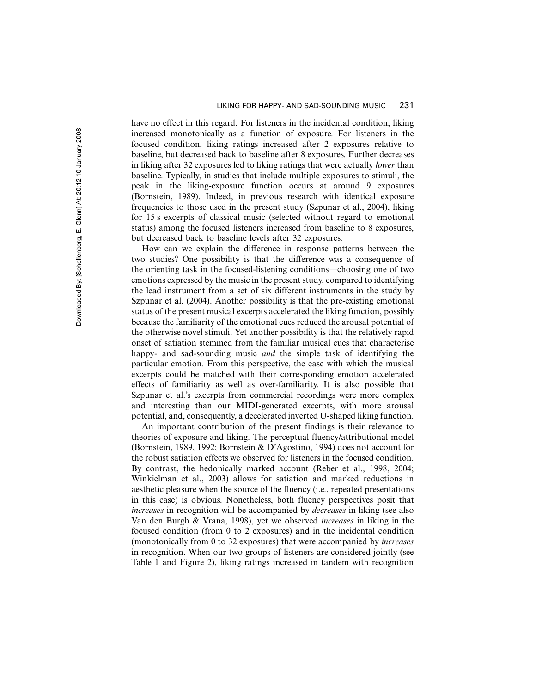have no effect in this regard. For listeners in the incidental condition, liking increased monotonically as a function of exposure. For listeners in the focused condition, liking ratings increased after 2 exposures relative to baseline, but decreased back to baseline after 8 exposures. Further decreases in liking after 32 exposures led to liking ratings that were actually lower than baseline. Typically, in studies that include multiple exposures to stimuli, the peak in the liking-exposure function occurs at around 9 exposures (Bornstein, 1989). Indeed, in previous research with identical exposure frequencies to those used in the present study (Szpunar et al., 2004), liking for 15 s excerpts of classical music (selected without regard to emotional status) among the focused listeners increased from baseline to 8 exposures, but decreased back to baseline levels after 32 exposures.

How can we explain the difference in response patterns between the two studies? One possibility is that the difference was a consequence of the orienting task in the focused-listening conditions—choosing one of two emotions expressed by the music in the present study, compared to identifying the lead instrument from a set of six different instruments in the study by Szpunar et al. (2004). Another possibility is that the pre-existing emotional status of the present musical excerpts accelerated the liking function, possibly because the familiarity of the emotional cues reduced the arousal potential of the otherwise novel stimuli. Yet another possibility is that the relatively rapid onset of satiation stemmed from the familiar musical cues that characterise happy- and sad-sounding music *and* the simple task of identifying the particular emotion. From this perspective, the ease with which the musical excerpts could be matched with their corresponding emotion accelerated effects of familiarity as well as over-familiarity. It is also possible that Szpunar et al.'s excerpts from commercial recordings were more complex and interesting than our MIDI-generated excerpts, with more arousal potential, and, consequently, a decelerated inverted U-shaped liking function.

An important contribution of the present findings is their relevance to theories of exposure and liking. The perceptual fluency/attributional model (Bornstein, 1989, 1992; Bornstein & D'Agostino, 1994) does not account for the robust satiation effects we observed for listeners in the focused condition. By contrast, the hedonically marked account (Reber et al., 1998, 2004; Winkielman et al., 2003) allows for satiation and marked reductions in aesthetic pleasure when the source of the fluency (i.e., repeated presentations in this case) is obvious. Nonetheless, both fluency perspectives posit that increases in recognition will be accompanied by decreases in liking (see also Van den Burgh & Vrana, 1998), yet we observed increases in liking in the focused condition (from 0 to 2 exposures) and in the incidental condition (monotonically from 0 to 32 exposures) that were accompanied by increases in recognition. When our two groups of listeners are considered jointly (see Table 1 and Figure 2), liking ratings increased in tandem with recognition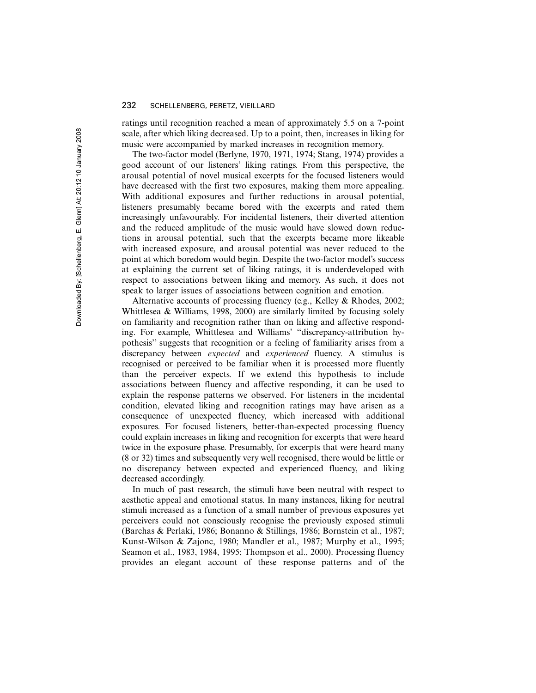ratings until recognition reached a mean of approximately 5.5 on a 7-point scale, after which liking decreased. Up to a point, then, increases in liking for music were accompanied by marked increases in recognition memory.

The two-factor model (Berlyne, 1970, 1971, 1974; Stang, 1974) provides a good account of our listeners' liking ratings. From this perspective, the arousal potential of novel musical excerpts for the focused listeners would have decreased with the first two exposures, making them more appealing. With additional exposures and further reductions in arousal potential, listeners presumably became bored with the excerpts and rated them increasingly unfavourably. For incidental listeners, their diverted attention and the reduced amplitude of the music would have slowed down reductions in arousal potential, such that the excerpts became more likeable with increased exposure, and arousal potential was never reduced to the point at which boredom would begin. Despite the two-factor model's success at explaining the current set of liking ratings, it is underdeveloped with respect to associations between liking and memory. As such, it does not speak to larger issues of associations between cognition and emotion.

Alternative accounts of processing fluency (e.g., Kelley & Rhodes, 2002; Whittlesea & Williams, 1998, 2000) are similarly limited by focusing solely on familiarity and recognition rather than on liking and affective responding. For example, Whittlesea and Williams' ''discrepancy-attribution hypothesis'' suggests that recognition or a feeling of familiarity arises from a discrepancy between *expected* and *experienced* fluency. A stimulus is recognised or perceived to be familiar when it is processed more fluently than the perceiver expects. If we extend this hypothesis to include associations between fluency and affective responding, it can be used to explain the response patterns we observed. For listeners in the incidental condition, elevated liking and recognition ratings may have arisen as a consequence of unexpected fluency, which increased with additional exposures. For focused listeners, better-than-expected processing fluency could explain increases in liking and recognition for excerpts that were heard twice in the exposure phase. Presumably, for excerpts that were heard many (8 or 32) times and subsequently very well recognised, there would be little or no discrepancy between expected and experienced fluency, and liking decreased accordingly.

In much of past research, the stimuli have been neutral with respect to aesthetic appeal and emotional status. In many instances, liking for neutral stimuli increased as a function of a small number of previous exposures yet perceivers could not consciously recognise the previously exposed stimuli (Barchas & Perlaki, 1986; Bonanno & Stillings, 1986; Bornstein et al., 1987; Kunst-Wilson & Zajonc, 1980; Mandler et al., 1987; Murphy et al., 1995; Seamon et al., 1983, 1984, 1995; Thompson et al., 2000). Processing fluency provides an elegant account of these response patterns and of the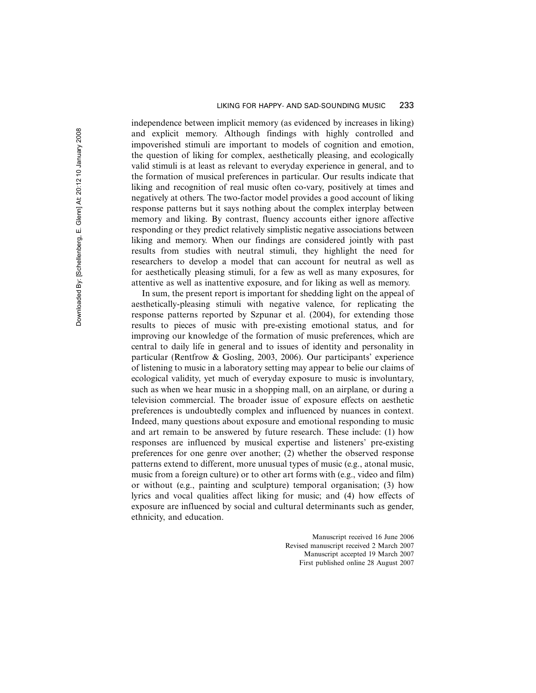#### LIKING FOR HAPPY- AND SAD-SOUNDING MUSIC 233

independence between implicit memory (as evidenced by increases in liking) and explicit memory. Although findings with highly controlled and impoverished stimuli are important to models of cognition and emotion, the question of liking for complex, aesthetically pleasing, and ecologically valid stimuli is at least as relevant to everyday experience in general, and to the formation of musical preferences in particular. Our results indicate that liking and recognition of real music often co-vary, positively at times and negatively at others. The two-factor model provides a good account of liking response patterns but it says nothing about the complex interplay between memory and liking. By contrast, fluency accounts either ignore affective responding or they predict relatively simplistic negative associations between liking and memory. When our findings are considered jointly with past results from studies with neutral stimuli, they highlight the need for researchers to develop a model that can account for neutral as well as for aesthetically pleasing stimuli, for a few as well as many exposures, for attentive as well as inattentive exposure, and for liking as well as memory.

In sum, the present report is important for shedding light on the appeal of aesthetically-pleasing stimuli with negative valence, for replicating the response patterns reported by Szpunar et al. (2004), for extending those results to pieces of music with pre-existing emotional status, and for improving our knowledge of the formation of music preferences, which are central to daily life in general and to issues of identity and personality in particular (Rentfrow & Gosling, 2003, 2006). Our participants' experience of listening to music in a laboratory setting may appear to belie our claims of ecological validity, yet much of everyday exposure to music is involuntary, such as when we hear music in a shopping mall, on an airplane, or during a television commercial. The broader issue of exposure effects on aesthetic preferences is undoubtedly complex and influenced by nuances in context. Indeed, many questions about exposure and emotional responding to music and art remain to be answered by future research. These include: (1) how responses are influenced by musical expertise and listeners' pre-existing preferences for one genre over another; (2) whether the observed response patterns extend to different, more unusual types of music (e.g., atonal music, music from a foreign culture) or to other art forms with (e.g., video and film) or without (e.g., painting and sculpture) temporal organisation; (3) how lyrics and vocal qualities affect liking for music; and (4) how effects of exposure are influenced by social and cultural determinants such as gender, ethnicity, and education.

> Manuscript received 16 June 2006 Revised manuscript received 2 March 2007 Manuscript accepted 19 March 2007 First published online 28 August 2007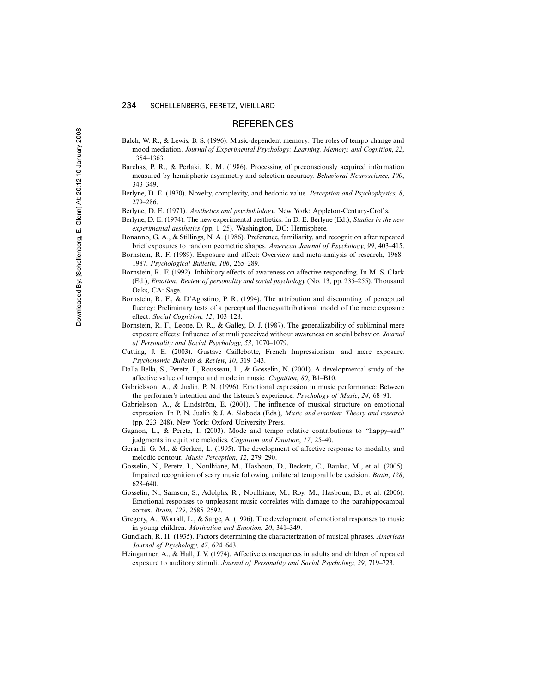#### REFERENCES

- Balch, W. R., & Lewis, B. S. (1996). Music-dependent memory: The roles of tempo change and mood mediation. Journal of Experimental Psychology: Learning, Memory, and Cognition, 22, 1354-1363.
- Barchas, P. R., & Perlaki, K. M. (1986). Processing of preconsciously acquired information measured by hemispheric asymmetry and selection accuracy. Behavioral Neuroscience, 100, 343-349.
- Berlyne, D. E. (1970). Novelty, complexity, and hedonic value. Perception and Psychophysics, 8, 279-286
- Berlyne, D. E. (1971). Aesthetics and psychobiology. New York: Appleton-Century-Crofts.
- Berlyne, D. E. (1974). The new experimental aesthetics. In D. E. Berlyne (Ed.), Studies in the new experimental aesthetics (pp.  $1-25$ ). Washington, DC: Hemisphere.
- Bonanno, G. A., & Stillings, N. A. (1986). Preference, familiarity, and recognition after repeated brief exposures to random geometric shapes. American Journal of Psychology, 99, 403-415.
- Bornstein, R. F. (1989). Exposure and affect: Overview and meta-analysis of research, 1968– 1987. Psychological Bulletin, 106, 265-289.
- Bornstein, R. F. (1992). Inhibitory effects of awareness on affective responding. In M. S. Clark (Ed.), Emotion: Review of personality and social psychology (No. 13, pp. 235-255). Thousand Oaks, CA: Sage.
- Bornstein, R. F., & D'Agostino, P. R. (1994). The attribution and discounting of perceptual fluency: Preliminary tests of a perceptual fluency/attributional model of the mere exposure effect. Social Cognition, 12, 103-128.
- Bornstein, R. F., Leone, D. R., & Galley, D. J. (1987). The generalizability of subliminal mere exposure effects: Influence of stimuli perceived without awareness on social behavior. Journal of Personality and Social Psychology, 53, 1070-1079.
- Cutting, J. E. (2003). Gustave Caillebotte, French Impressionism, and mere exposure. Psychonomic Bulletin & Review, 10, 319-343.
- Dalla Bella, S., Peretz, I., Rousseau, L., & Gosselin, N. (2001). A developmental study of the affective value of tempo and mode in music. Cognition, 80, B1-B10.
- Gabrielsson, A., & Juslin, P. N. (1996). Emotional expression in music performance: Between the performer's intention and the listener's experience. *Psychology of Music*,  $24$ ,  $68-91$ .
- Gabrielsson, A., & Lindström, E. (2001). The influence of musical structure on emotional expression. In P. N. Juslin & J. A. Sloboda (Eds.), Music and emotion: Theory and research (pp. 223-248). New York: Oxford University Press.
- Gagnon, L., & Peretz, I. (2003). Mode and tempo relative contributions to "happy-sad" judgments in equitone melodies. Cognition and Emotion, 17, 25-40.
- Gerardi, G. M., & Gerken, L. (1995). The development of affective response to modality and melodic contour. Music Perception, 12, 279-290.
- Gosselin, N., Peretz, I., Noulhiane, M., Hasboun, D., Beckett, C., Baulac, M., et al. (2005). Impaired recognition of scary music following unilateral temporal lobe excision. Brain, 128, 628-640
- Gosselin, N., Samson, S., Adolphs, R., Noulhiane, M., Roy, M., Hasboun, D., et al. (2006). Emotional responses to unpleasant music correlates with damage to the parahippocampal cortex. Brain, 129, 2585-2592.
- Gregory, A., Worrall, L., & Sarge, A. (1996). The development of emotional responses to music in young children. Motivation and Emotion, 20, 341-349.
- Gundlach, R. H. (1935). Factors determining the characterization of musical phrases. American Journal of Psychology, 47, 624–643.
- Heingartner, A., & Hall, J. V. (1974). Affective consequences in adults and children of repeated exposure to auditory stimuli. Journal of Personality and Social Psychology, 29, 719-723.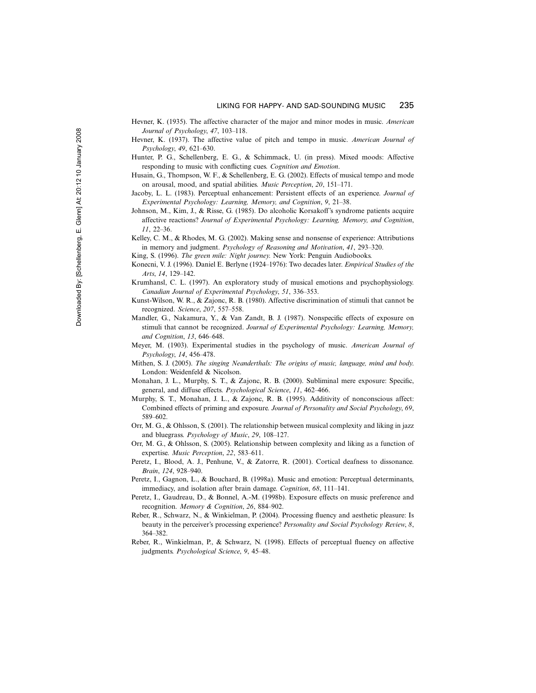- Hevner, K. (1935). The affective character of the major and minor modes in music. American Journal of Psychology, 47, 103-118.
- Hevner, K. (1937). The affective value of pitch and tempo in music. American Journal of  $Psychology, 49, 621–630.$
- Hunter, P. G., Schellenberg, E. G., & Schimmack, U. (in press). Mixed moods: Affective responding to music with conflicting cues. Cognition and Emotion.
- Husain, G., Thompson, W. F., & Schellenberg, E. G. (2002). Effects of musical tempo and mode on arousal, mood, and spatial abilities. *Music Perception*, 20, 151-171.

- Johnson, M., Kim, J., & Risse, G. (1985). Do alcoholic Korsakoff's syndrome patients acquire affective reactions? Journal of Experimental Psychology: Learning, Memory, and Cognition,  $11, 22 - 36$
- Kelley, C. M., & Rhodes, M. G. (2002). Making sense and nonsense of experience: Attributions in memory and judgment. Psychology of Reasoning and Motivation, 41, 293-320.
- King, S. (1996). The green mile: Night journey. New York: Penguin Audiobooks.
- Konecni, V. J. (1996). Daniel E. Berlyne (1924-1976): Two decades later. Empirical Studies of the Arts, 14, 129-142.
- Krumhansl, C. L. (1997). An exploratory study of musical emotions and psychophysiology. Canadian Journal of Experimental Psychology, 51, 336-353.
- Kunst-Wilson, W. R., & Zajonc, R. B. (1980). Affective discrimination of stimuli that cannot be recognized. Science, 207, 557-558.
- Mandler, G., Nakamura, Y., & Van Zandt, B. J. (1987). Nonspecific effects of exposure on stimuli that cannot be recognized. Journal of Experimental Psychology: Learning, Memory, and Cognition, 13, 646-648.
- Meyer, M. (1903). Experimental studies in the psychology of music. American Journal of Psychology, 14, 456–478.
- Mithen, S. J. (2005). The singing Neanderthals: The origins of music, language, mind and body. London: Weidenfeld & Nicolson.
- Monahan, J. L., Murphy, S. T., & Zajonc, R. B. (2000). Subliminal mere exposure: Specific, general, and diffuse effects. Psychological Science, 11, 462-466.
- Murphy, S. T., Monahan, J. L., & Zajonc, R. B. (1995). Additivity of nonconscious affect: Combined effects of priming and exposure. Journal of Personality and Social Psychology, 69, 589-602.
- Orr, M. G., & Ohlsson, S. (2001). The relationship between musical complexity and liking in jazz and bluegrass. Psychology of Music,  $29$ ,  $108-127$ .
- Orr, M. G., & Ohlsson, S. (2005). Relationship between complexity and liking as a function of expertise. Music Perception, 22, 583-611.
- Peretz, I., Blood, A. J., Penhune, V., & Zatorre, R. (2001). Cortical deafness to dissonance. Brain, 124, 928-940.
- Peretz, I., Gagnon, L., & Bouchard, B. (1998a). Music and emotion: Perceptual determinants, immediacy, and isolation after brain damage. Cognition, 68, 111-141.
- Peretz, I., Gaudreau, D., & Bonnel, A.-M. (1998b). Exposure effects on music preference and recognition. Memory & Cognition, 26, 884-902.
- Reber, R., Schwarz, N., & Winkielman, P. (2004). Processing fluency and aesthetic pleasure: Is beauty in the perceiver's processing experience? Personality and Social Psychology Review, 8, 364-382.
- Reber, R., Winkielman, P., & Schwarz, N. (1998). Effects of perceptual fluency on affective judgments. Psychological Science, 9, 45-48.

Jacoby, L. L. (1983). Perceptual enhancement: Persistent effects of an experience. Journal of Experimental Psychology: Learning, Memory, and Cognition, 9, 21-38.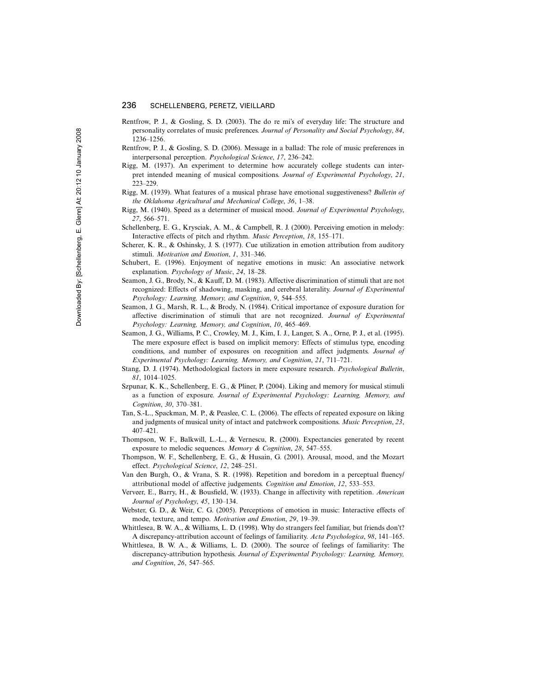- Rentfrow, P. J., & Gosling, S. D. (2003). The do re mi's of everyday life: The structure and personality correlates of music preferences. Journal of Personality and Social Psychology, 84, 1236-1256.
- Rentfrow, P. J., & Gosling, S. D. (2006). Message in a ballad: The role of music preferences in interpersonal perception. Psychological Science, 17, 236-242.
- Rigg, M. (1937). An experiment to determine how accurately college students can interpret intended meaning of musical compositions. Journal of Experimental Psychology, 21, 223-229

Rigg, M. (1939). What features of a musical phrase have emotional suggestiveness? Bulletin of the Oklahoma Agricultural and Mechanical College,  $36$ ,  $1-38$ .

Rigg, M. (1940). Speed as a determiner of musical mood. Journal of Experimental Psychology, 27, 566-571.

Schellenberg, E. G., Krysciak, A. M., & Campbell, R. J. (2000). Perceiving emotion in melody: Interactive effects of pitch and rhythm. Music Perception, 18, 155-171.

- Scherer, K. R., & Oshinsky, J. S. (1977). Cue utilization in emotion attribution from auditory stimuli. Motivation and Emotion, 1, 331-346.
- Schubert, E. (1996). Enjoyment of negative emotions in music: An associative network explanation. *Psychology of Music*, 24, 18-28.
- Seamon, J. G., Brody, N., & Kauff, D. M. (1983). Affective discrimination of stimuli that are not recognized: Effects of shadowing, masking, and cerebral laterality. Journal of Experimental Psychology: Learning, Memory, and Cognition, 9, 544-555.
- Seamon, J. G., Marsh, R. L., & Brody, N. (1984). Critical importance of exposure duration for affective discrimination of stimuli that are not recognized. Journal of Experimental Psychology: Learning, Memory, and Cognition, 10, 465-469.
- Seamon, J. G., Williams, P. C., Crowley, M. J., Kim, I. J., Langer, S. A., Orne, P. J., et al. (1995). The mere exposure effect is based on implicit memory: Effects of stimulus type, encoding conditions, and number of exposures on recognition and affect judgments. Journal of Experimental Psychology: Learning, Memory, and Cognition, 21, 711-721.
- Stang, D. J. (1974). Methodological factors in mere exposure research. Psychological Bulletin,  $81, 1014 - 1025.$
- Szpunar, K. K., Schellenberg, E. G., & Pliner, P. (2004). Liking and memory for musical stimuli as a function of exposure. Journal of Experimental Psychology: Learning, Memory, and Cognition, 30, 370-381.
- Tan, S.-L., Spackman, M. P., & Peaslee, C. L. (2006). The effects of repeated exposure on liking and judgments of musical unity of intact and patchwork compositions. Music Perception, 23, 407-421.
- Thompson, W. F., Balkwill, L.-L., & Vernescu, R. (2000). Expectancies generated by recent exposure to melodic sequences. Memory & Cognition, 28, 547-555.
- Thompson, W. F., Schellenberg, E. G., & Husain, G. (2001). Arousal, mood, and the Mozart effect. Psychological Science, 12, 248-251.
- Van den Burgh, O., & Vrana, S. R. (1998). Repetition and boredom in a perceptual fluency/ attributional model of affective judgements. Cognition and Emotion, 12, 533-553.
- Verveer, E., Barry, H., & Bousfield, W. (1933). Change in affectivity with repetition. American Journal of Psychology, 45, 130-134.
- Webster, G. D., & Weir, C. G. (2005). Perceptions of emotion in music: Interactive effects of mode, texture, and tempo. Motivation and Emotion, 29, 19-39.
- Whittlesea, B. W. A., & Williams, L. D. (1998). Why do strangers feel familiar, but friends don't? A discrepancy-attribution account of feelings of familiarity. Acta Psychologica, 98, 141–165.
- Whittlesea, B. W. A., & Williams, L. D. (2000). The source of feelings of familiarity: The discrepancy-attribution hypothesis. Journal of Experimental Psychology: Learning, Memory, and Cognition, 26, 547-565.